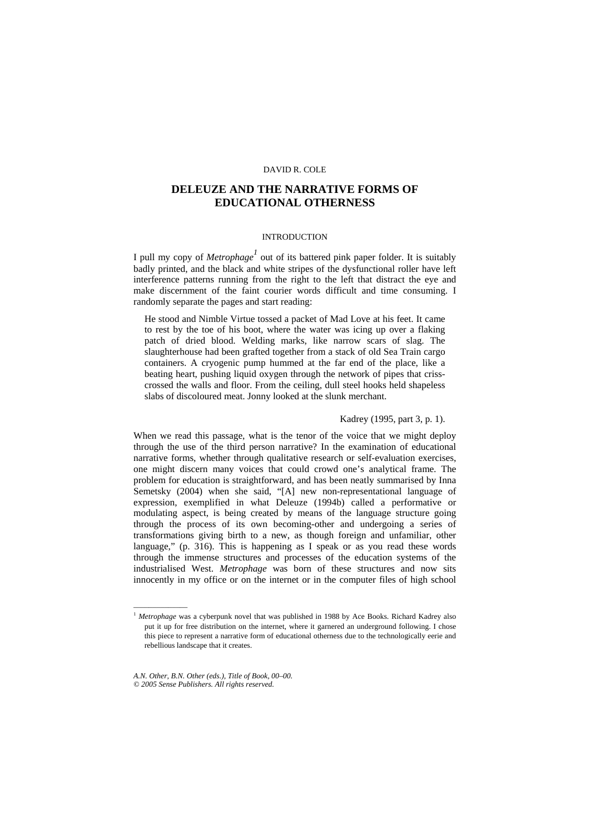# **DELEUZE AND THE NARRATIVE FORMS OF EDUCATIONAL OTHERNESS**

# INTRODUCTION

I pull my copy of *Metrophage<sup>1</sup>* out of its battered pink paper folder. It is suitably badly printed, and the black and white stripes of the dysfunctional roller have left interference patterns running from the right to the left that distract the eye and make discernment of the faint courier words difficult and time consuming. I randomly separate the pages and start reading:

He stood and Nimble Virtue tossed a packet of Mad Love at his feet. It came to rest by the toe of his boot, where the water was icing up over a flaking patch of dried blood. Welding marks, like narrow scars of slag. The slaughterhouse had been grafted together from a stack of old Sea Train cargo containers. A cryogenic pump hummed at the far end of the place, like a beating heart, pushing liquid oxygen through the network of pipes that crisscrossed the walls and floor. From the ceiling, dull steel hooks held shapeless slabs of discoloured meat. Jonny looked at the slunk merchant.

# Kadrey (1995, part 3, p. 1).

When we read this passage, what is the tenor of the voice that we might deploy through the use of the third person narrative? In the examination of educational narrative forms, whether through qualitative research or self-evaluation exercises, one might discern many voices that could crowd one's analytical frame. The problem for education is straightforward, and has been neatly summarised by Inna Semetsky (2004) when she said, "[A] new non-representational language of expression, exemplified in what Deleuze (1994b) called a performative or modulating aspect, is being created by means of the language structure going through the process of its own becoming-other and undergoing a series of transformations giving birth to a new, as though foreign and unfamiliar, other language," (p. 316). This is happening as I speak or as you read these words through the immense structures and processes of the education systems of the industrialised West. *Metrophage* was born of these structures and now sits innocently in my office or on the internet or in the computer files of high school

––––––––––––––

<sup>1</sup> *Metrophage* was a cyberpunk novel that was published in 1988 by Ace Books. Richard Kadrey also put it up for free distribution on the internet, where it garnered an underground following. I chose this piece to represent a narrative form of educational otherness due to the technologically eerie and rebellious landscape that it creates.

*A.N. Other, B.N. Other (eds.), Title of Book, 00–00. © 2005 Sense Publishers. All rights reserved.*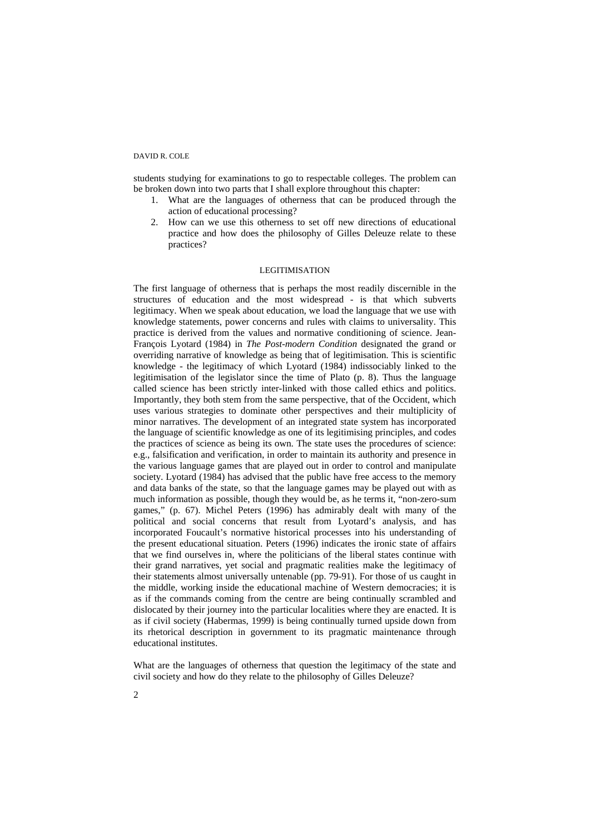students studying for examinations to go to respectable colleges. The problem can be broken down into two parts that I shall explore throughout this chapter:

- 1. What are the languages of otherness that can be produced through the action of educational processing?
- 2. How can we use this otherness to set off new directions of educational practice and how does the philosophy of Gilles Deleuze relate to these practices?

# LEGITIMISATION

The first language of otherness that is perhaps the most readily discernible in the structures of education and the most widespread - is that which subverts legitimacy. When we speak about education, we load the language that we use with knowledge statements, power concerns and rules with claims to universality. This practice is derived from the values and normative conditioning of science. Jean-François Lyotard (1984) in *The Post-modern Condition* designated the grand or overriding narrative of knowledge as being that of legitimisation. This is scientific knowledge - the legitimacy of which Lyotard (1984) indissociably linked to the legitimisation of the legislator since the time of Plato (p. 8). Thus the language called science has been strictly inter-linked with those called ethics and politics. Importantly, they both stem from the same perspective, that of the Occident, which uses various strategies to dominate other perspectives and their multiplicity of minor narratives. The development of an integrated state system has incorporated the language of scientific knowledge as one of its legitimising principles, and codes the practices of science as being its own. The state uses the procedures of science: e.g., falsification and verification, in order to maintain its authority and presence in the various language games that are played out in order to control and manipulate society. Lyotard (1984) has advised that the public have free access to the memory and data banks of the state, so that the language games may be played out with as much information as possible, though they would be, as he terms it, "non-zero-sum games," (p. 67). Michel Peters (1996) has admirably dealt with many of the political and social concerns that result from Lyotard's analysis, and has incorporated Foucault's normative historical processes into his understanding of the present educational situation. Peters (1996) indicates the ironic state of affairs that we find ourselves in, where the politicians of the liberal states continue with their grand narratives, yet social and pragmatic realities make the legitimacy of their statements almost universally untenable (pp. 79-91). For those of us caught in the middle, working inside the educational machine of Western democracies; it is as if the commands coming from the centre are being continually scrambled and dislocated by their journey into the particular localities where they are enacted. It is as if civil society (Habermas, 1999) is being continually turned upside down from its rhetorical description in government to its pragmatic maintenance through educational institutes.

What are the languages of otherness that question the legitimacy of the state and civil society and how do they relate to the philosophy of Gilles Deleuze?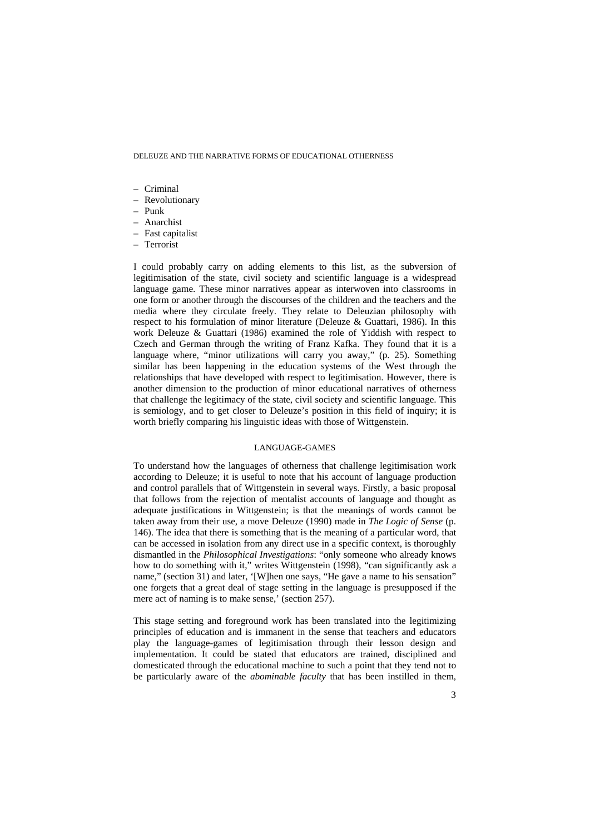- Criminal
- Revolutionary
- Punk
- Anarchist
- Fast capitalist
- Terrorist

I could probably carry on adding elements to this list, as the subversion of legitimisation of the state, civil society and scientific language is a widespread language game. These minor narratives appear as interwoven into classrooms in one form or another through the discourses of the children and the teachers and the media where they circulate freely. They relate to Deleuzian philosophy with respect to his formulation of minor literature (Deleuze & Guattari, 1986). In this work Deleuze & Guattari (1986) examined the role of Yiddish with respect to Czech and German through the writing of Franz Kafka. They found that it is a language where, "minor utilizations will carry you away," (p. 25). Something similar has been happening in the education systems of the West through the relationships that have developed with respect to legitimisation. However, there is another dimension to the production of minor educational narratives of otherness that challenge the legitimacy of the state, civil society and scientific language. This is semiology, and to get closer to Deleuze's position in this field of inquiry; it is worth briefly comparing his linguistic ideas with those of Wittgenstein.

### LANGUAGE-GAMES

To understand how the languages of otherness that challenge legitimisation work according to Deleuze; it is useful to note that his account of language production and control parallels that of Wittgenstein in several ways. Firstly, a basic proposal that follows from the rejection of mentalist accounts of language and thought as adequate justifications in Wittgenstein; is that the meanings of words cannot be taken away from their use, a move Deleuze (1990) made in *The Logic of Sense* (p. 146). The idea that there is something that is the meaning of a particular word, that can be accessed in isolation from any direct use in a specific context, is thoroughly dismantled in the *Philosophical Investigations*: "only someone who already knows how to do something with it," writes Wittgenstein (1998), "can significantly ask a name," (section 31) and later, '[W]hen one says, "He gave a name to his sensation" one forgets that a great deal of stage setting in the language is presupposed if the mere act of naming is to make sense,' (section 257).

This stage setting and foreground work has been translated into the legitimizing principles of education and is immanent in the sense that teachers and educators play the language-games of legitimisation through their lesson design and implementation. It could be stated that educators are trained, disciplined and domesticated through the educational machine to such a point that they tend not to be particularly aware of the *abominable faculty* that has been instilled in them,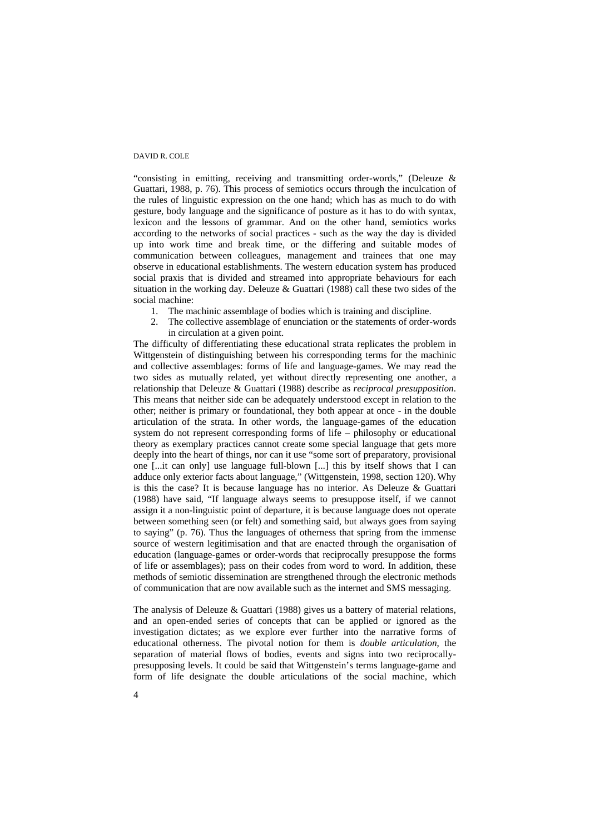"consisting in emitting, receiving and transmitting order-words," (Deleuze & Guattari, 1988, p. 76). This process of semiotics occurs through the inculcation of the rules of linguistic expression on the one hand; which has as much to do with gesture, body language and the significance of posture as it has to do with syntax, lexicon and the lessons of grammar. And on the other hand, semiotics works according to the networks of social practices - such as the way the day is divided up into work time and break time, or the differing and suitable modes of communication between colleagues, management and trainees that one may observe in educational establishments. The western education system has produced social praxis that is divided and streamed into appropriate behaviours for each situation in the working day. Deleuze & Guattari (1988) call these two sides of the social machine:

- 1. The machinic assemblage of bodies which is training and discipline.
- 2. The collective assemblage of enunciation or the statements of order-words in circulation at a given point.

The difficulty of differentiating these educational strata replicates the problem in Wittgenstein of distinguishing between his corresponding terms for the machinic and collective assemblages: forms of life and language-games. We may read the two sides as mutually related, yet without directly representing one another, a relationship that Deleuze & Guattari (1988) describe as *reciprocal presupposition*. This means that neither side can be adequately understood except in relation to the other; neither is primary or foundational, they both appear at once - in the double articulation of the strata. In other words, the language-games of the education system do not represent corresponding forms of life – philosophy or educational theory as exemplary practices cannot create some special language that gets more deeply into the heart of things, nor can it use "some sort of preparatory, provisional one [...it can only] use language full-blown [...] this by itself shows that I can adduce only exterior facts about language," (Wittgenstein, 1998, section 120). Why is this the case? It is because language has no interior. As Deleuze & Guattari (1988) have said, "If language always seems to presuppose itself, if we cannot assign it a non-linguistic point of departure, it is because language does not operate between something seen (or felt) and something said, but always goes from saying to saying" (p. 76). Thus the languages of otherness that spring from the immense source of western legitimisation and that are enacted through the organisation of education (language-games or order-words that reciprocally presuppose the forms of life or assemblages); pass on their codes from word to word. In addition, these methods of semiotic dissemination are strengthened through the electronic methods of communication that are now available such as the internet and SMS messaging.

The analysis of Deleuze & Guattari (1988) gives us a battery of material relations, and an open-ended series of concepts that can be applied or ignored as the investigation dictates; as we explore ever further into the narrative forms of educational otherness. The pivotal notion for them is *double articulation*, the separation of material flows of bodies, events and signs into two reciprocallypresupposing levels. It could be said that Wittgenstein's terms language-game and form of life designate the double articulations of the social machine, which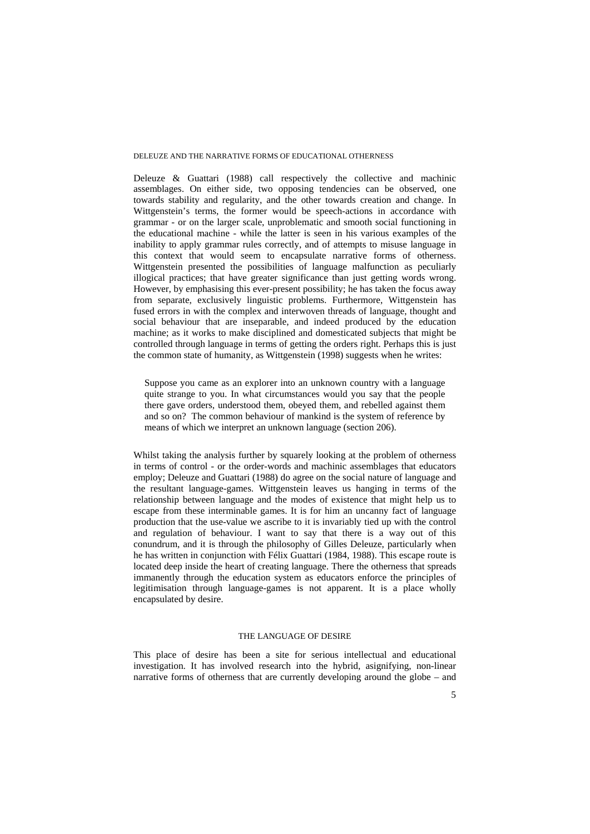Deleuze & Guattari (1988) call respectively the collective and machinic assemblages. On either side, two opposing tendencies can be observed, one towards stability and regularity, and the other towards creation and change. In Wittgenstein's terms, the former would be speech-actions in accordance with grammar - or on the larger scale, unproblematic and smooth social functioning in the educational machine - while the latter is seen in his various examples of the inability to apply grammar rules correctly, and of attempts to misuse language in this context that would seem to encapsulate narrative forms of otherness. Wittgenstein presented the possibilities of language malfunction as peculiarly illogical practices; that have greater significance than just getting words wrong. However, by emphasising this ever-present possibility; he has taken the focus away from separate, exclusively linguistic problems. Furthermore, Wittgenstein has fused errors in with the complex and interwoven threads of language, thought and social behaviour that are inseparable, and indeed produced by the education machine; as it works to make disciplined and domesticated subjects that might be controlled through language in terms of getting the orders right. Perhaps this is just the common state of humanity, as Wittgenstein (1998) suggests when he writes:

Suppose you came as an explorer into an unknown country with a language quite strange to you. In what circumstances would you say that the people there gave orders, understood them, obeyed them, and rebelled against them and so on? The common behaviour of mankind is the system of reference by means of which we interpret an unknown language (section 206).

Whilst taking the analysis further by squarely looking at the problem of otherness in terms of control - or the order-words and machinic assemblages that educators employ; Deleuze and Guattari (1988) do agree on the social nature of language and the resultant language-games. Wittgenstein leaves us hanging in terms of the relationship between language and the modes of existence that might help us to escape from these interminable games. It is for him an uncanny fact of language production that the use-value we ascribe to it is invariably tied up with the control and regulation of behaviour. I want to say that there is a way out of this conundrum, and it is through the philosophy of Gilles Deleuze, particularly when he has written in conjunction with Félix Guattari (1984, 1988). This escape route is located deep inside the heart of creating language. There the otherness that spreads immanently through the education system as educators enforce the principles of legitimisation through language-games is not apparent. It is a place wholly encapsulated by desire.

# THE LANGUAGE OF DESIRE

This place of desire has been a site for serious intellectual and educational investigation. It has involved research into the hybrid, asignifying, non-linear narrative forms of otherness that are currently developing around the globe – and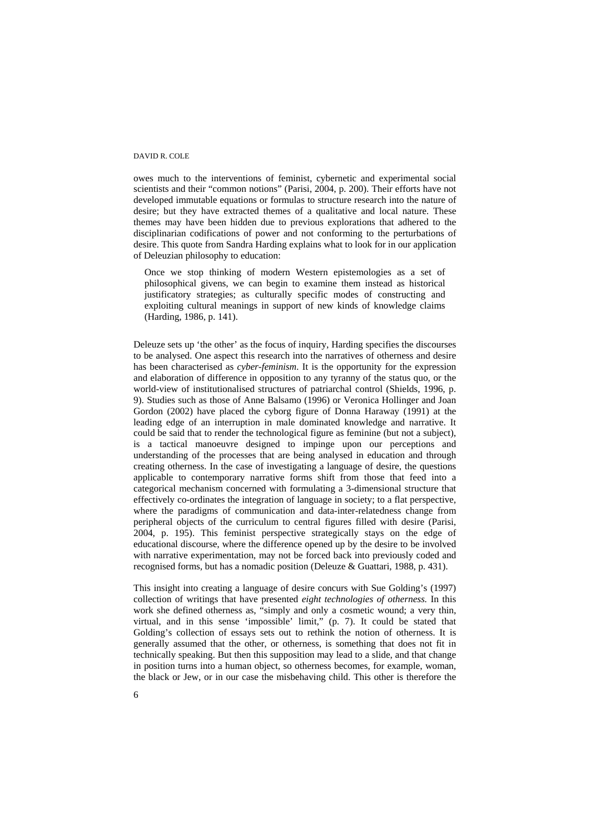owes much to the interventions of feminist, cybernetic and experimental social scientists and their "common notions" (Parisi, 2004, p. 200). Their efforts have not developed immutable equations or formulas to structure research into the nature of desire; but they have extracted themes of a qualitative and local nature. These themes may have been hidden due to previous explorations that adhered to the disciplinarian codifications of power and not conforming to the perturbations of desire. This quote from Sandra Harding explains what to look for in our application of Deleuzian philosophy to education:

Once we stop thinking of modern Western epistemologies as a set of philosophical givens, we can begin to examine them instead as historical justificatory strategies; as culturally specific modes of constructing and exploiting cultural meanings in support of new kinds of knowledge claims (Harding, 1986, p. 141).

Deleuze sets up 'the other' as the focus of inquiry, Harding specifies the discourses to be analysed. One aspect this research into the narratives of otherness and desire has been characterised as *cyber-feminism*. It is the opportunity for the expression and elaboration of difference in opposition to any tyranny of the status quo, or the world-view of institutionalised structures of patriarchal control (Shields, 1996, p. 9). Studies such as those of Anne Balsamo (1996) or Veronica Hollinger and Joan Gordon (2002) have placed the cyborg figure of Donna Haraway (1991) at the leading edge of an interruption in male dominated knowledge and narrative. It could be said that to render the technological figure as feminine (but not a subject), is a tactical manoeuvre designed to impinge upon our perceptions and understanding of the processes that are being analysed in education and through creating otherness. In the case of investigating a language of desire, the questions applicable to contemporary narrative forms shift from those that feed into a categorical mechanism concerned with formulating a 3-dimensional structure that effectively co-ordinates the integration of language in society; to a flat perspective, where the paradigms of communication and data-inter-relatedness change from peripheral objects of the curriculum to central figures filled with desire (Parisi, 2004, p. 195). This feminist perspective strategically stays on the edge of educational discourse, where the difference opened up by the desire to be involved with narrative experimentation, may not be forced back into previously coded and recognised forms, but has a nomadic position (Deleuze & Guattari, 1988, p. 431).

This insight into creating a language of desire concurs with Sue Golding's (1997) collection of writings that have presented *eight technologies of otherness.* In this work she defined otherness as, "simply and only a cosmetic wound; a very thin, virtual, and in this sense 'impossible' limit," (p. 7). It could be stated that Golding's collection of essays sets out to rethink the notion of otherness. It is generally assumed that the other, or otherness, is something that does not fit in technically speaking. But then this supposition may lead to a slide, and that change in position turns into a human object, so otherness becomes, for example, woman, the black or Jew, or in our case the misbehaving child. This other is therefore the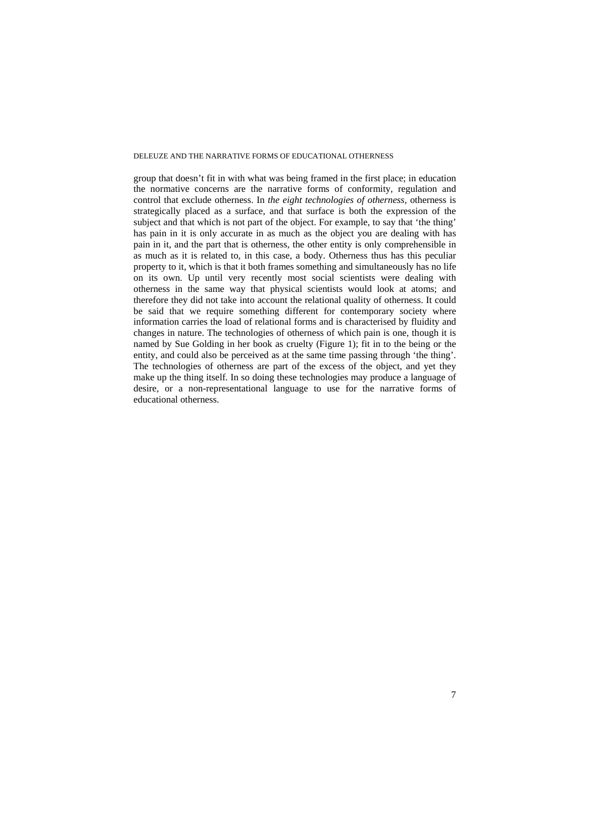group that doesn't fit in with what was being framed in the first place; in education the normative concerns are the narrative forms of conformity, regulation and control that exclude otherness. In *the eight technologies of otherness,* otherness is strategically placed as a surface, and that surface is both the expression of the subject and that which is not part of the object. For example, to say that 'the thing' has pain in it is only accurate in as much as the object you are dealing with has pain in it, and the part that is otherness, the other entity is only comprehensible in as much as it is related to, in this case, a body. Otherness thus has this peculiar property to it, which is that it both frames something and simultaneously has no life on its own. Up until very recently most social scientists were dealing with otherness in the same way that physical scientists would look at atoms; and therefore they did not take into account the relational quality of otherness. It could be said that we require something different for contemporary society where information carries the load of relational forms and is characterised by fluidity and changes in nature. The technologies of otherness of which pain is one, though it is named by Sue Golding in her book as cruelty (Figure 1); fit in to the being or the entity, and could also be perceived as at the same time passing through 'the thing'. The technologies of otherness are part of the excess of the object, and yet they make up the thing itself. In so doing these technologies may produce a language of desire, or a non-representational language to use for the narrative forms of educational otherness.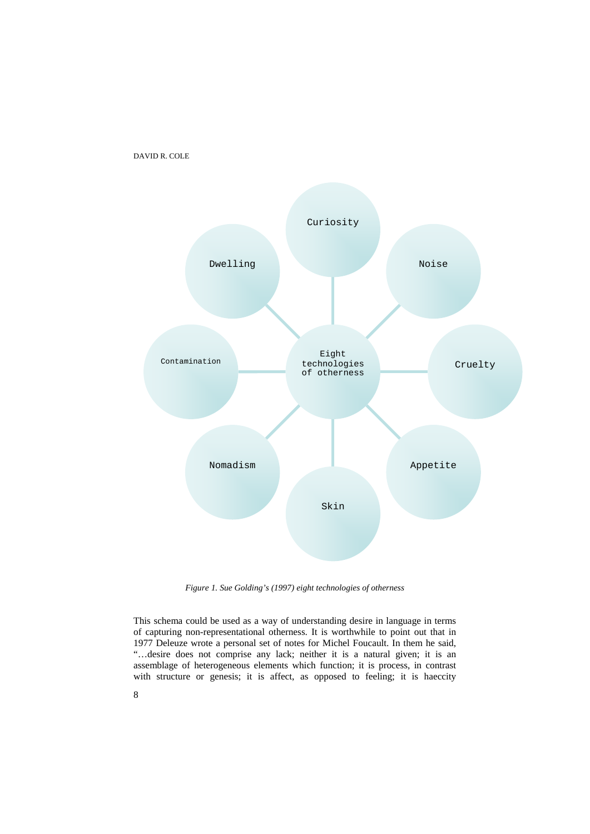



*Figure 1. Sue Golding's (1997) eight technologies of otherness* 

This schema could be used as a way of understanding desire in language in terms of capturing non-representational otherness. It is worthwhile to point out that in 1977 Deleuze wrote a personal set of notes for Michel Foucault. In them he said, "…desire does not comprise any lack; neither it is a natural given; it is an assemblage of heterogeneous elements which function; it is process, in contrast with structure or genesis; it is affect, as opposed to feeling; it is haeccity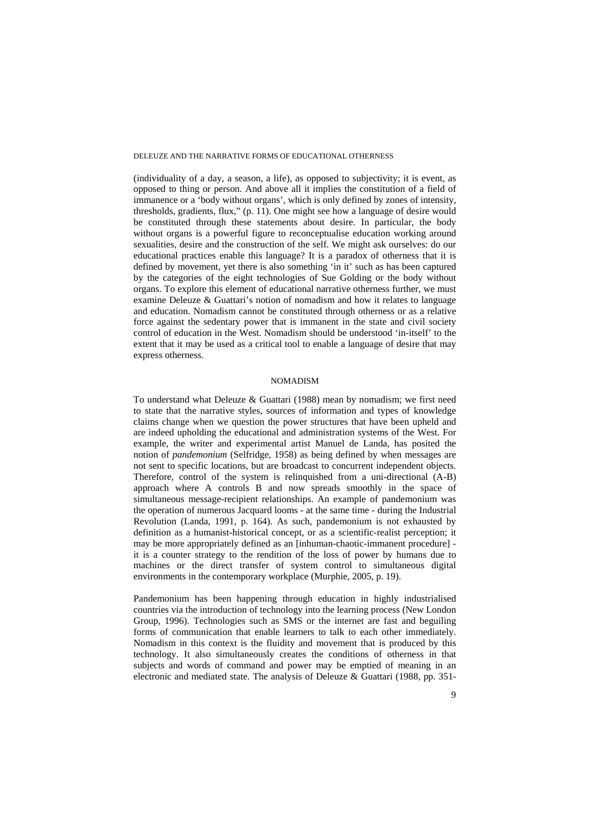(individuality of a day, a season, a life), as opposed to subjectivity; it is event, as opposed to thing or person. And above all it implies the constitution of a field of immanence or a 'body without organs', which is only defined by zones of intensity, thresholds, gradients, flux," (p. 11). One might see how a language of desire would be constituted through these statements about desire. In particular, the body without organs is a powerful figure to reconceptualise education working around sexualities, desire and the construction of the self. We might ask ourselves: do our educational practices enable this language? It is a paradox of otherness that it is defined by movement, yet there is also something 'in it' such as has been captured by the categories of the eight technologies of Sue Golding or the body without organs. To explore this element of educational narrative otherness further, we must examine Deleuze & Guattari's notion of nomadism and how it relates to language and education. Nomadism cannot be constituted through otherness or as a relative force against the sedentary power that is immanent in the state and civil society control of education in the West. Nomadism should be understood 'in-itself' to the extent that it may be used as a critical tool to enable a language of desire that may express otherness.

# NOMADISM

To understand what Deleuze & Guattari (1988) mean by nomadism; we first need to state that the narrative styles, sources of information and types of knowledge claims change when we question the power structures that have been upheld and are indeed upholding the educational and administration systems of the West. For example, the writer and experimental artist Manuel de Landa, has posited the notion of *pandemonium* (Selfridge, 1958) as being defined by when messages are not sent to specific locations, but are broadcast to concurrent independent objects. Therefore, control of the system is relinquished from a uni-directional (A-B) approach where A controls B and now spreads smoothly in the space of simultaneous message-recipient relationships. An example of pandemonium was the operation of numerous Jacquard looms - at the same time - during the Industrial Revolution (Landa, 1991, p. 164). As such, pandemonium is not exhausted by definition as a humanist-historical concept, or as a scientific-realist perception; it may be more appropriately defined as an [inhuman-chaotic-immanent procedure] it is a counter strategy to the rendition of the loss of power by humans due to machines or the direct transfer of system control to simultaneous digital environments in the contemporary workplace (Murphie, 2005, p. 19).

Pandemonium has been happening through education in highly industrialised countries via the introduction of technology into the learning process (New London Group, 1996). Technologies such as SMS or the internet are fast and beguiling forms of communication that enable learners to talk to each other immediately. Nomadism in this context is the fluidity and movement that is produced by this technology. It also simultaneously creates the conditions of otherness in that subjects and words of command and power may be emptied of meaning in an electronic and mediated state. The analysis of Deleuze & Guattari (1988, pp. 351-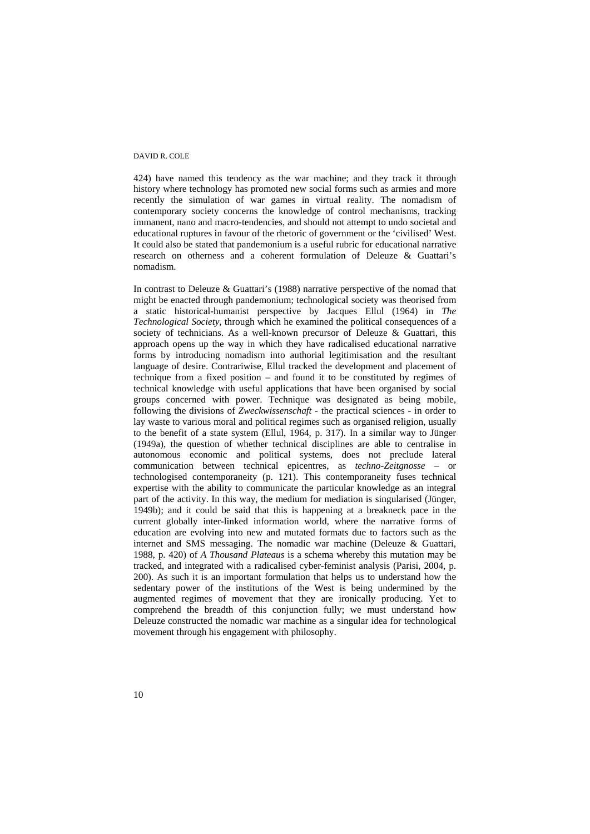424) have named this tendency as the war machine; and they track it through history where technology has promoted new social forms such as armies and more recently the simulation of war games in virtual reality. The nomadism of contemporary society concerns the knowledge of control mechanisms, tracking immanent, nano and macro-tendencies, and should not attempt to undo societal and educational ruptures in favour of the rhetoric of government or the 'civilised' West. It could also be stated that pandemonium is a useful rubric for educational narrative research on otherness and a coherent formulation of Deleuze & Guattari's nomadism.

In contrast to Deleuze & Guattari's (1988) narrative perspective of the nomad that might be enacted through pandemonium; technological society was theorised from a static historical-humanist perspective by Jacques Ellul (1964) in *The Technological Society,* through which he examined the political consequences of a society of technicians. As a well-known precursor of Deleuze & Guattari, this approach opens up the way in which they have radicalised educational narrative forms by introducing nomadism into authorial legitimisation and the resultant language of desire. Contrariwise, Ellul tracked the development and placement of technique from a fixed position – and found it to be constituted by regimes of technical knowledge with useful applications that have been organised by social groups concerned with power. Technique was designated as being mobile, following the divisions of *Zweckwissenschaft -* the practical sciences *-* in order to lay waste to various moral and political regimes such as organised religion, usually to the benefit of a state system (Ellul, 1964, p. 317). In a similar way to Jünger (1949a), the question of whether technical disciplines are able to centralise in autonomous economic and political systems, does not preclude lateral communication between technical epicentres, as *techno-Zeitgnosse* – or technologised contemporaneity (p. 121). This contemporaneity fuses technical expertise with the ability to communicate the particular knowledge as an integral part of the activity. In this way, the medium for mediation is singularised (Jünger, 1949b); and it could be said that this is happening at a breakneck pace in the current globally inter-linked information world, where the narrative forms of education are evolving into new and mutated formats due to factors such as the internet and SMS messaging. The nomadic war machine (Deleuze & Guattari, 1988, p. 420) of *A Thousand Plateaus* is a schema whereby this mutation may be tracked, and integrated with a radicalised cyber-feminist analysis (Parisi, 2004, p. 200). As such it is an important formulation that helps us to understand how the sedentary power of the institutions of the West is being undermined by the augmented regimes of movement that they are ironically producing. Yet to comprehend the breadth of this conjunction fully; we must understand how Deleuze constructed the nomadic war machine as a singular idea for technological movement through his engagement with philosophy.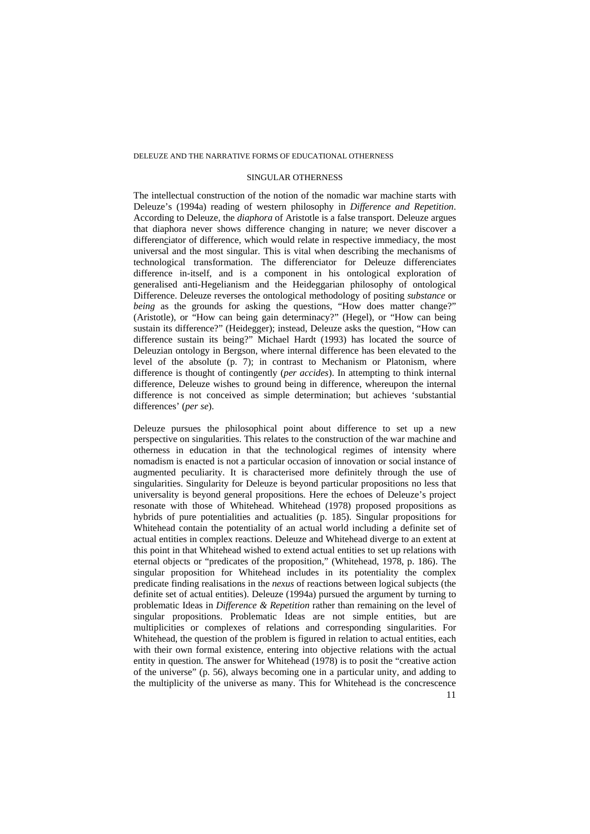# SINGULAR OTHERNESS

The intellectual construction of the notion of the nomadic war machine starts with Deleuze's (1994a) reading of western philosophy in *Difference and Repetition*. According to Deleuze, the *diaphora* of Aristotle is a false transport. Deleuze argues that diaphora never shows difference changing in nature; we never discover a differenciator of difference, which would relate in respective immediacy, the most universal and the most singular. This is vital when describing the mechanisms of technological transformation. The differenciator for Deleuze differenciates difference in-itself, and is a component in his ontological exploration of generalised anti-Hegelianism and the Heideggarian philosophy of ontological Difference. Deleuze reverses the ontological methodology of positing *substance* or *being* as the grounds for asking the questions, "How does matter change?" (Aristotle), or "How can being gain determinacy?" (Hegel), or "How can being sustain its difference?" (Heidegger); instead, Deleuze asks the question, "How can difference sustain its being?" Michael Hardt (1993) has located the source of Deleuzian ontology in Bergson, where internal difference has been elevated to the level of the absolute (p. 7); in contrast to Mechanism or Platonism, where difference is thought of contingently (*per accides*). In attempting to think internal difference, Deleuze wishes to ground being in difference, whereupon the internal difference is not conceived as simple determination; but achieves 'substantial differences' (*per se*).

Deleuze pursues the philosophical point about difference to set up a new perspective on singularities. This relates to the construction of the war machine and otherness in education in that the technological regimes of intensity where nomadism is enacted is not a particular occasion of innovation or social instance of augmented peculiarity. It is characterised more definitely through the use of singularities. Singularity for Deleuze is beyond particular propositions no less that universality is beyond general propositions. Here the echoes of Deleuze's project resonate with those of Whitehead. Whitehead (1978) proposed propositions as hybrids of pure potentialities and actualities (p. 185). Singular propositions for Whitehead contain the potentiality of an actual world including a definite set of actual entities in complex reactions. Deleuze and Whitehead diverge to an extent at this point in that Whitehead wished to extend actual entities to set up relations with eternal objects or "predicates of the proposition," (Whitehead, 1978, p. 186). The singular proposition for Whitehead includes in its potentiality the complex predicate finding realisations in the *nexus* of reactions between logical subjects (the definite set of actual entities). Deleuze (1994a) pursued the argument by turning to problematic Ideas in *Difference & Repetition* rather than remaining on the level of singular propositions. Problematic Ideas are not simple entities, but are multiplicities or complexes of relations and corresponding singularities. For Whitehead, the question of the problem is figured in relation to actual entities, each with their own formal existence, entering into objective relations with the actual entity in question. The answer for Whitehead (1978) is to posit the "creative action of the universe" (p. 56), always becoming one in a particular unity, and adding to the multiplicity of the universe as many. This for Whitehead is the concrescence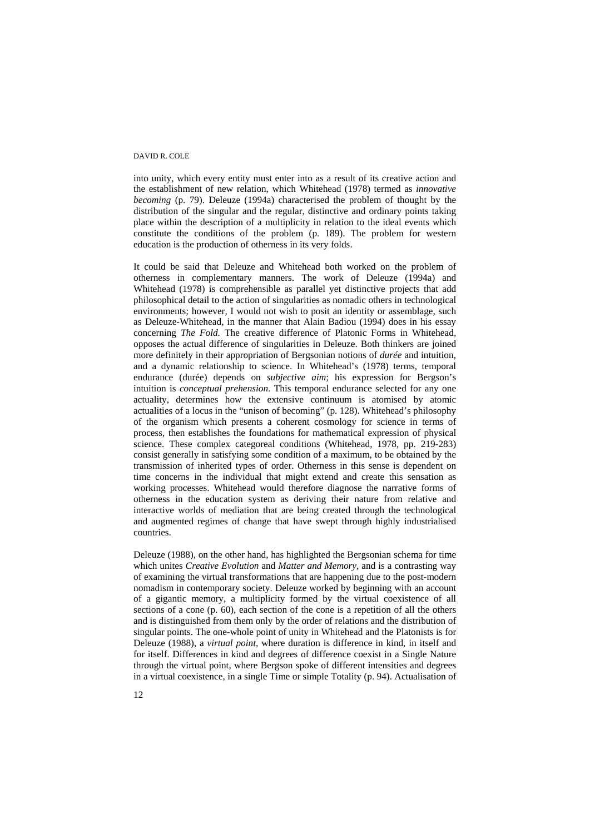into unity, which every entity must enter into as a result of its creative action and the establishment of new relation, which Whitehead (1978) termed as *innovative becoming* (p. 79). Deleuze (1994a) characterised the problem of thought by the distribution of the singular and the regular, distinctive and ordinary points taking place within the description of a multiplicity in relation to the ideal events which constitute the conditions of the problem (p. 189). The problem for western education is the production of otherness in its very folds.

It could be said that Deleuze and Whitehead both worked on the problem of otherness in complementary manners. The work of Deleuze (1994a) and Whitehead (1978) is comprehensible as parallel yet distinctive projects that add philosophical detail to the action of singularities as nomadic others in technological environments; however, I would not wish to posit an identity or assemblage, such as Deleuze-Whitehead, in the manner that Alain Badiou (1994) does in his essay concerning *The Fold.* The creative difference of Platonic Forms in Whitehead, opposes the actual difference of singularities in Deleuze. Both thinkers are joined more definitely in their appropriation of Bergsonian notions of *durée* and intuition, and a dynamic relationship to science. In Whitehead's (1978) terms, temporal endurance (durée) depends on *subjective aim*; his expression for Bergson's intuition is *conceptual prehension*. This temporal endurance selected for any one actuality, determines how the extensive continuum is atomised by atomic actualities of a locus in the "unison of becoming" (p. 128). Whitehead's philosophy of the organism which presents a coherent cosmology for science in terms of process, then establishes the foundations for mathematical expression of physical science. These complex categoreal conditions (Whitehead, 1978, pp. 219-283) consist generally in satisfying some condition of a maximum, to be obtained by the transmission of inherited types of order. Otherness in this sense is dependent on time concerns in the individual that might extend and create this sensation as working processes. Whitehead would therefore diagnose the narrative forms of otherness in the education system as deriving their nature from relative and interactive worlds of mediation that are being created through the technological and augmented regimes of change that have swept through highly industrialised countries.

Deleuze (1988), on the other hand, has highlighted the Bergsonian schema for time which unites *Creative Evolution* and *Matter and Memory*, and is a contrasting way of examining the virtual transformations that are happening due to the post-modern nomadism in contemporary society. Deleuze worked by beginning with an account of a gigantic memory, a multiplicity formed by the virtual coexistence of all sections of a cone (p. 60), each section of the cone is a repetition of all the others and is distinguished from them only by the order of relations and the distribution of singular points. The one-whole point of unity in Whitehead and the Platonists is for Deleuze (1988), a *virtual point*, where duration is difference in kind, in itself and for itself. Differences in kind and degrees of difference coexist in a Single Nature through the virtual point, where Bergson spoke of different intensities and degrees in a virtual coexistence, in a single Time or simple Totality (p. 94). Actualisation of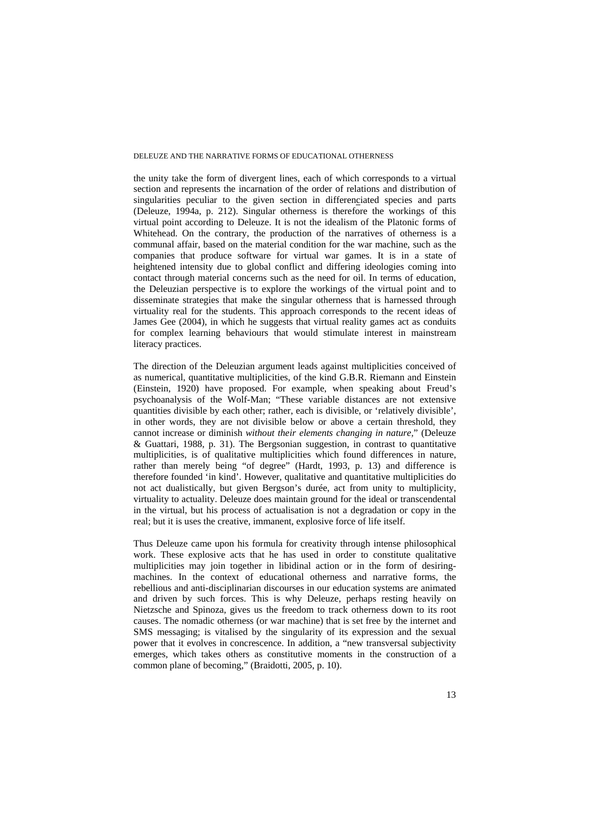the unity take the form of divergent lines, each of which corresponds to a virtual section and represents the incarnation of the order of relations and distribution of singularities peculiar to the given section in differenciated species and parts (Deleuze, 1994a, p. 212). Singular otherness is therefore the workings of this virtual point according to Deleuze. It is not the idealism of the Platonic forms of Whitehead. On the contrary, the production of the narratives of otherness is a communal affair, based on the material condition for the war machine, such as the companies that produce software for virtual war games. It is in a state of heightened intensity due to global conflict and differing ideologies coming into contact through material concerns such as the need for oil. In terms of education, the Deleuzian perspective is to explore the workings of the virtual point and to disseminate strategies that make the singular otherness that is harnessed through virtuality real for the students. This approach corresponds to the recent ideas of James Gee (2004), in which he suggests that virtual reality games act as conduits for complex learning behaviours that would stimulate interest in mainstream literacy practices.

The direction of the Deleuzian argument leads against multiplicities conceived of as numerical, quantitative multiplicities, of the kind G.B.R. Riemann and Einstein (Einstein, 1920) have proposed. For example, when speaking about Freud's psychoanalysis of the Wolf-Man; "These variable distances are not extensive quantities divisible by each other; rather, each is divisible, or 'relatively divisible', in other words, they are not divisible below or above a certain threshold, they cannot increase or diminish *without their elements changing in nature,*" (Deleuze & Guattari, 1988, p. 31). The Bergsonian suggestion, in contrast to quantitative multiplicities, is of qualitative multiplicities which found differences in nature, rather than merely being "of degree" (Hardt, 1993, p. 13) and difference is therefore founded 'in kind'. However, qualitative and quantitative multiplicities do not act dualistically, but given Bergson's durée, act from unity to multiplicity, virtuality to actuality. Deleuze does maintain ground for the ideal or transcendental in the virtual, but his process of actualisation is not a degradation or copy in the real; but it is uses the creative, immanent, explosive force of life itself.

Thus Deleuze came upon his formula for creativity through intense philosophical work. These explosive acts that he has used in order to constitute qualitative multiplicities may join together in libidinal action or in the form of desiringmachines. In the context of educational otherness and narrative forms, the rebellious and anti-disciplinarian discourses in our education systems are animated and driven by such forces. This is why Deleuze, perhaps resting heavily on Nietzsche and Spinoza, gives us the freedom to track otherness down to its root causes. The nomadic otherness (or war machine) that is set free by the internet and SMS messaging; is vitalised by the singularity of its expression and the sexual power that it evolves in concrescence. In addition, a "new transversal subjectivity emerges, which takes others as constitutive moments in the construction of a common plane of becoming," (Braidotti, 2005, p. 10).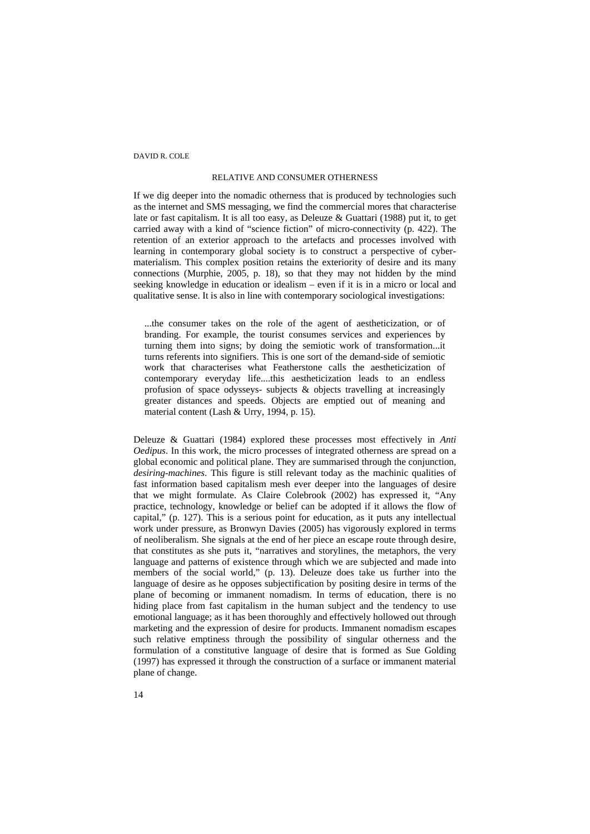### RELATIVE AND CONSUMER OTHERNESS

If we dig deeper into the nomadic otherness that is produced by technologies such as the internet and SMS messaging, we find the commercial mores that characterise late or fast capitalism. It is all too easy, as Deleuze & Guattari (1988) put it, to get carried away with a kind of "science fiction" of micro-connectivity (p. 422). The retention of an exterior approach to the artefacts and processes involved with learning in contemporary global society is to construct a perspective of cybermaterialism. This complex position retains the exteriority of desire and its many connections (Murphie, 2005, p. 18), so that they may not hidden by the mind seeking knowledge in education or idealism – even if it is in a micro or local and qualitative sense. It is also in line with contemporary sociological investigations:

...the consumer takes on the role of the agent of aestheticization, or of branding. For example, the tourist consumes services and experiences by turning them into signs; by doing the semiotic work of transformation...it turns referents into signifiers. This is one sort of the demand-side of semiotic work that characterises what Featherstone calls the aestheticization of contemporary everyday life....this aestheticization leads to an endless profusion of space odysseys- subjects & objects travelling at increasingly greater distances and speeds. Objects are emptied out of meaning and material content (Lash & Urry, 1994, p. 15).

Deleuze & Guattari (1984) explored these processes most effectively in *Anti Oedipus*. In this work, the micro processes of integrated otherness are spread on a global economic and political plane. They are summarised through the conjunction, *desiring-machines*. This figure is still relevant today as the machinic qualities of fast information based capitalism mesh ever deeper into the languages of desire that we might formulate. As Claire Colebrook (2002) has expressed it, "Any practice, technology, knowledge or belief can be adopted if it allows the flow of capital," (p. 127). This is a serious point for education, as it puts any intellectual work under pressure, as Bronwyn Davies (2005) has vigorously explored in terms of neoliberalism. She signals at the end of her piece an escape route through desire, that constitutes as she puts it, "narratives and storylines, the metaphors, the very language and patterns of existence through which we are subjected and made into members of the social world," (p. 13). Deleuze does take us further into the language of desire as he opposes subjectification by positing desire in terms of the plane of becoming or immanent nomadism. In terms of education, there is no hiding place from fast capitalism in the human subject and the tendency to use emotional language; as it has been thoroughly and effectively hollowed out through marketing and the expression of desire for products. Immanent nomadism escapes such relative emptiness through the possibility of singular otherness and the formulation of a constitutive language of desire that is formed as Sue Golding (1997) has expressed it through the construction of a surface or immanent material plane of change.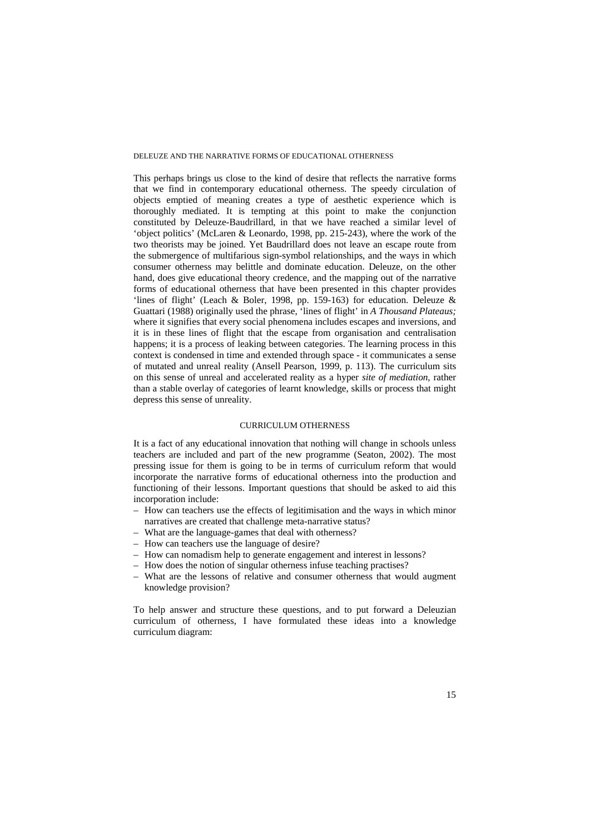This perhaps brings us close to the kind of desire that reflects the narrative forms that we find in contemporary educational otherness. The speedy circulation of objects emptied of meaning creates a type of aesthetic experience which is thoroughly mediated. It is tempting at this point to make the conjunction constituted by Deleuze-Baudrillard, in that we have reached a similar level of 'object politics' (McLaren & Leonardo, 1998, pp. 215-243), where the work of the two theorists may be joined. Yet Baudrillard does not leave an escape route from the submergence of multifarious sign-symbol relationships, and the ways in which consumer otherness may belittle and dominate education. Deleuze, on the other hand, does give educational theory credence, and the mapping out of the narrative forms of educational otherness that have been presented in this chapter provides 'lines of flight' (Leach & Boler, 1998, pp. 159-163) for education. Deleuze & Guattari (1988) originally used the phrase, 'lines of flight' in *A Thousand Plateaus;* where it signifies that every social phenomena includes escapes and inversions, and it is in these lines of flight that the escape from organisation and centralisation happens; it is a process of leaking between categories. The learning process in this context is condensed in time and extended through space - it communicates a sense of mutated and unreal reality (Ansell Pearson, 1999, p. 113). The curriculum sits on this sense of unreal and accelerated reality as a hyper *site of mediation*, rather than a stable overlay of categories of learnt knowledge, skills or process that might depress this sense of unreality.

# CURRICULUM OTHERNESS

It is a fact of any educational innovation that nothing will change in schools unless teachers are included and part of the new programme (Seaton, 2002). The most pressing issue for them is going to be in terms of curriculum reform that would incorporate the narrative forms of educational otherness into the production and functioning of their lessons. Important questions that should be asked to aid this incorporation include:

- How can teachers use the effects of legitimisation and the ways in which minor narratives are created that challenge meta-narrative status?
- What are the language-games that deal with otherness?
- How can teachers use the language of desire?
- How can nomadism help to generate engagement and interest in lessons?
- How does the notion of singular otherness infuse teaching practises?
- What are the lessons of relative and consumer otherness that would augment knowledge provision?

To help answer and structure these questions, and to put forward a Deleuzian curriculum of otherness, I have formulated these ideas into a knowledge curriculum diagram: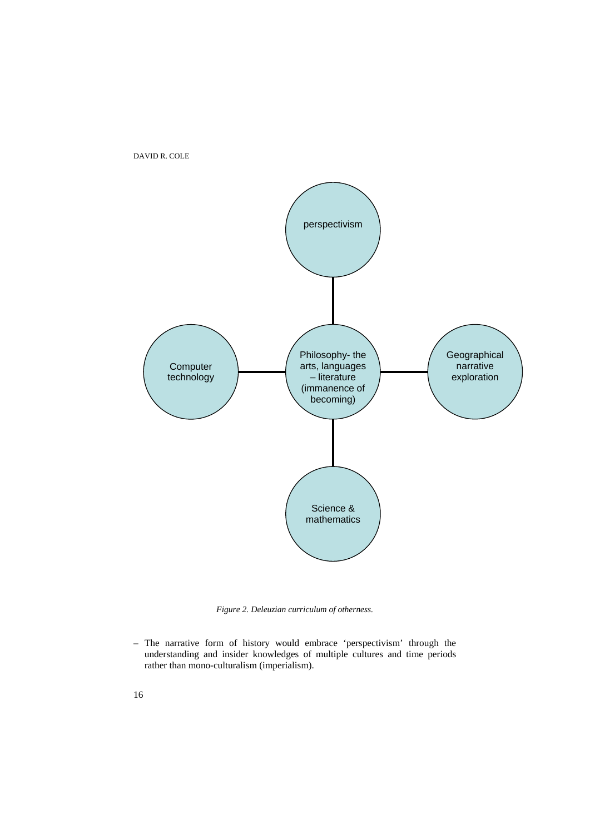

*Figure 2. Deleuzian curriculum of otherness.* 

– The narrative form of history would embrace 'perspectivism' through the understanding and insider knowledges of multiple cultures and time periods rather than mono-culturalism (imperialism).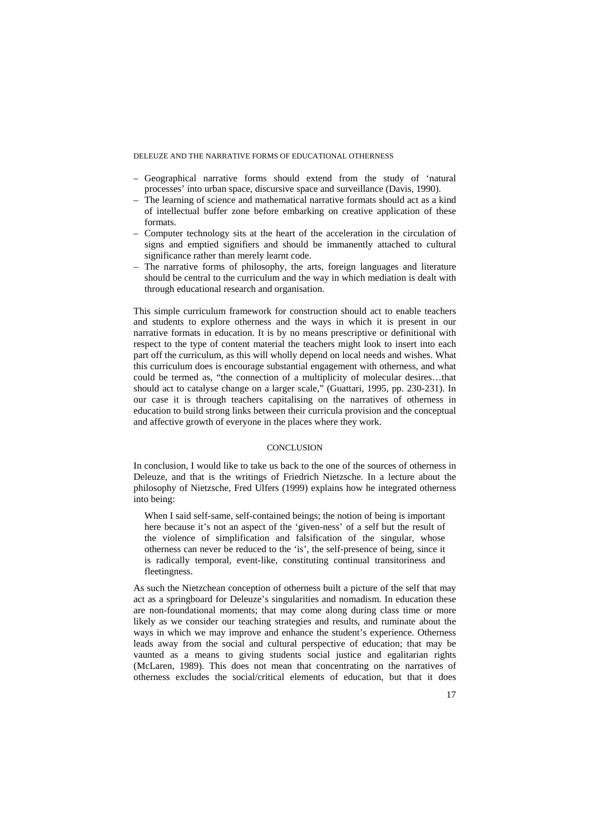- Geographical narrative forms should extend from the study of 'natural processes' into urban space, discursive space and surveillance (Davis, 1990).
- The learning of science and mathematical narrative formats should act as a kind of intellectual buffer zone before embarking on creative application of these formats.
- Computer technology sits at the heart of the acceleration in the circulation of signs and emptied signifiers and should be immanently attached to cultural significance rather than merely learnt code.
- The narrative forms of philosophy, the arts, foreign languages and literature should be central to the curriculum and the way in which mediation is dealt with through educational research and organisation.

This simple curriculum framework for construction should act to enable teachers and students to explore otherness and the ways in which it is present in our narrative formats in education. It is by no means prescriptive or definitional with respect to the type of content material the teachers might look to insert into each part off the curriculum, as this will wholly depend on local needs and wishes. What this curriculum does is encourage substantial engagement with otherness, and what could be termed as, "the connection of a multiplicity of molecular desires…that should act to catalyse change on a larger scale," (Guattari, 1995, pp. 230-231). In our case it is through teachers capitalising on the narratives of otherness in education to build strong links between their curricula provision and the conceptual and affective growth of everyone in the places where they work.

### **CONCLUSION**

In conclusion, I would like to take us back to the one of the sources of otherness in Deleuze, and that is the writings of Friedrich Nietzsche. In a lecture about the philosophy of Nietzsche, Fred Ulfers (1999) explains how he integrated otherness into being:

When I said self-same, self-contained beings; the notion of being is important here because it's not an aspect of the 'given-ness' of a self but the result of the violence of simplification and falsification of the singular, whose otherness can never be reduced to the 'is', the self-presence of being, since it is radically temporal, event-like, constituting continual transitoriness and fleetingness.

As such the Nietzchean conception of otherness built a picture of the self that may act as a springboard for Deleuze's singularities and nomadism. In education these are non-foundational moments; that may come along during class time or more likely as we consider our teaching strategies and results, and ruminate about the ways in which we may improve and enhance the student's experience. Otherness leads away from the social and cultural perspective of education; that may be vaunted as a means to giving students social justice and egalitarian rights (McLaren, 1989). This does not mean that concentrating on the narratives of otherness excludes the social/critical elements of education, but that it does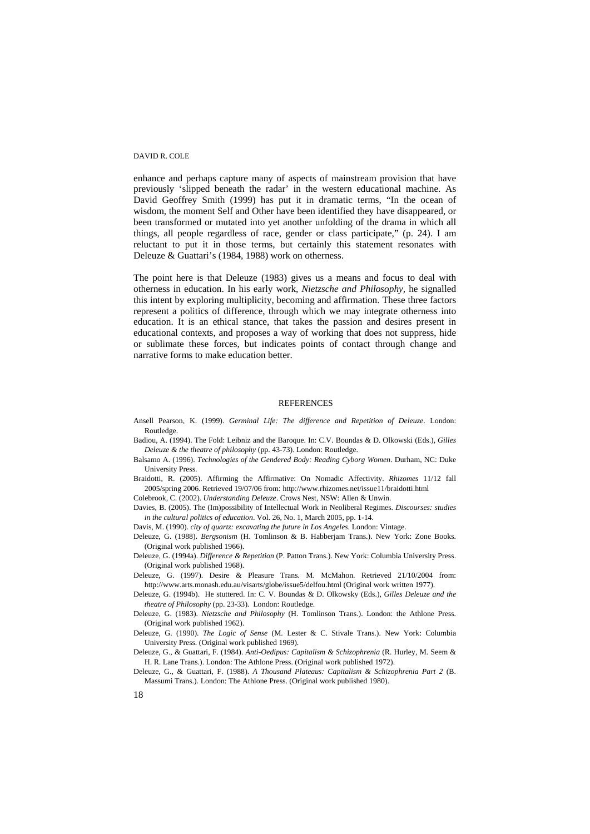enhance and perhaps capture many of aspects of mainstream provision that have previously 'slipped beneath the radar' in the western educational machine. As David Geoffrey Smith (1999) has put it in dramatic terms, "In the ocean of wisdom, the moment Self and Other have been identified they have disappeared, or been transformed or mutated into yet another unfolding of the drama in which all things, all people regardless of race, gender or class participate," (p. 24). I am reluctant to put it in those terms, but certainly this statement resonates with Deleuze & Guattari's (1984, 1988) work on otherness.

The point here is that Deleuze (1983) gives us a means and focus to deal with otherness in education. In his early work, *Nietzsche and Philosophy,* he signalled this intent by exploring multiplicity, becoming and affirmation. These three factors represent a politics of difference, through which we may integrate otherness into education. It is an ethical stance, that takes the passion and desires present in educational contexts, and proposes a way of working that does not suppress, hide or sublimate these forces, but indicates points of contact through change and narrative forms to make education better.

#### **REFERENCES**

- Ansell Pearson, K. (1999). *Germinal Life: The difference and Repetition of Deleuze*. London: Routledge.
- Badiou, A. (1994). The Fold: Leibniz and the Baroque. In: C.V. Boundas & D. Olkowski (Eds.), *Gilles Deleuze & the theatre of philosophy* (pp. 43-73). London: Routledge.
- Balsamo A. (1996). *Technologies of the Gendered Body: Reading Cyborg Women*. Durham, NC: Duke University Press.
- Braidotti, R. (2005). Affirming the Affirmative: On Nomadic Affectivity. *Rhizomes* 11/12 fall 2005/spring 2006. Retrieved 19/07/06 from: http://www.rhizomes.net/issue11/braidotti.html

Colebrook, C. (2002). *Understanding Deleuze*. Crows Nest, NSW: Allen & Unwin.

Davies, B. (2005). The (Im)possibility of Intellectual Work in Neoliberal Regimes. *Discourses: studies in the cultural politics of education*. Vol. 26, No. 1, March 2005, pp. 1-14.

Davis, M. (1990). *city of quartz: excavating the future in Los Angeles*. London: Vintage.

Deleuze, G. (1988). *Bergsonism* (H. Tomlinson & B. Habberjam Trans.). New York: Zone Books. (Original work published 1966).

Deleuze, G. (1994a). *Difference & Repetition* (P. Patton Trans.). New York: Columbia University Press. (Original work published 1968).

- Deleuze, G. (1997). Desire & Pleasure Trans. M. McMahon. Retrieved 21/10/2004 from: http://www.arts.monash.edu.au/visarts/globe/issue5/delfou.html (Original work written 1977).
- Deleuze, G. (1994b). He stuttered. In: C. V. Boundas & D. Olkowsky (Eds.), *Gilles Deleuze and the theatre of Philosophy* (pp. 23-33). London: Routledge.
- Deleuze, G. (1983). *Nietzsche and Philosophy* (H. Tomlinson Trans.). London: the Athlone Press. (Original work published 1962).

Deleuze, G. (1990). *The Logic of Sense* (M. Lester & C. Stivale Trans.). New York: Columbia University Press. (Original work published 1969).

Deleuze, G., & Guattari, F. (1984). *Anti-Oedipus: Capitalism & Schizophrenia* (R. Hurley, M. Seem & H. R. Lane Trans.). London: The Athlone Press. (Original work published 1972).

Deleuze, G., & Guattari, F. (1988). *A Thousand Plateaus: Capitalism & Schizophrenia Part 2* (B. Massumi Trans.). London: The Athlone Press. (Original work published 1980).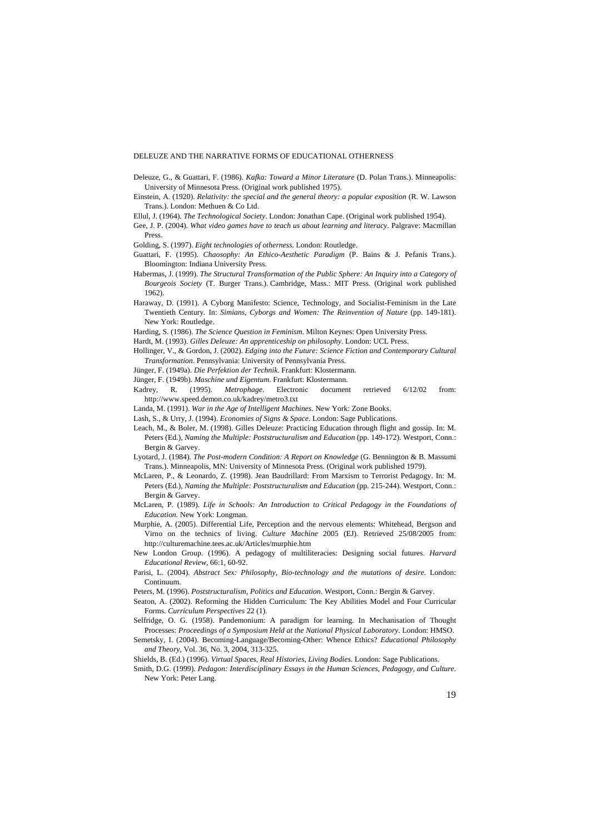Deleuze, G., & Guattari, F. (1986). *Kafka: Toward a Minor Literature* (D. Polan Trans.). Minneapolis: University of Minnesota Press. (Original work published 1975).

Einstein, A. (1920). *Relativity: the special and the general theory: a popular exposition* (R. W. Lawson Trans.). London: Methuen & Co Ltd.

Ellul, J. (1964). *The Technological Society*. London: Jonathan Cape. (Original work published 1954).

Gee, J. P. (2004). *What video games have to teach us about learning and literacy*. Palgrave: Macmillan Press.

Golding, S. (1997). *Eight technologies of otherness*. London: Routledge.

Guattari, F. (1995). *Chaosophy: An Ethico-Aesthetic Paradigm* (P. Bains & J. Pefanis Trans.). Bloomington: Indiana University Press.

Habermas, J. (1999). *The Structural Transformation of the Public Sphere: An Inquiry into a Category of Bourgeois Society* (T. Burger Trans.). Cambridge, Mass.: MIT Press. (Original work published 1962).

Haraway, D. (1991). A Cyborg Manifesto: Science, Technology, and Socialist-Feminism in the Late Twentieth Century*.* In: *Simians, Cyborgs and Women: The Reinvention of Nature* (pp. 149-181). New York: Routledge.

Harding, S. (1986). *The Science Question in Feminism*. Milton Keynes: Open University Press.

Hardt, M. (1993). *Gilles Deleuze: An apprenticeship on philosophy*. London: UCL Press.

Hollinger, V., & Gordon, J. (2002). *Edging into the Future: Science Fiction and Contemporary Cultural Transformation*. Pennsylvania: University of Pennsylvania Press.

Jünger, F. (1949a). *Die Perfektion der Technik*. Frankfurt: Klostermann.

Jünger, F. (1949b). *Maschine und Eigentum*. Frankfurt: Klostermann.

Kadrey, R. (1995). *Metrophage*. Electronic document retrieved 6/12/02 from: http://www.speed.demon.co.uk/kadrey/metro3.txt

Landa, M. (1991). *War in the Age of Intelligent Machines*. New York: Zone Books.

Lash, S., & Urry, J. (1994). *Economies of Signs & Space*. London: Sage Publications.

Leach, M., & Boler, M. (1998). Gilles Deleuze: Practicing Education through flight and gossip. In: M. Peters (Ed.), *Naming the Multiple: Poststructuralism and Education* (pp. 149-172). Westport, Conn.: Bergin & Garvey.

Lyotard, J. (1984). *The Post-modern Condition: A Report on Knowledge* (G. Bennington & B. Massumi Trans.). Minneapolis, MN: University of Minnesota Press. (Original work published 1979).

McLaren, P., & Leonardo, Z. (1998). Jean Baudrillard: From Marxism to Terrorist Pedagogy. In: M. Peters (Ed.), *Naming the Multiple: Poststructuralism and Education* (pp. 215-244). Westport, Conn.: Bergin & Garvey.

McLaren, P. (1989). *Life in Schools: An Introduction to Critical Pedagogy in the Foundations of Education.* New York: Longman.

Murphie, A. (2005). Differential Life, Perception and the nervous elements: Whitehead, Bergson and Virno on the technics of living. *Culture Machine* 2005 (EJ). Retrieved 25/08/2005 from: http://culturemachine.tees.ac.uk/Articles/murphie.htm

New London Group. (1996). A pedagogy of multiliteracies: Designing social futures. *Harvard Educational Review*, 66:1, 60-92.

Parisi, L. (2004). *Abstract Sex: Philosophy, Bio-technology and the mutations of desire*. London: Continuum.

Peters, M. (1996). *Poststructuralism, Politics and Education*. Westport, Conn.: Bergin & Garvey.

Seaton, A. (2002). Reforming the Hidden Curriculum: The Key Abilities Model and Four Curricular Forms. *Curriculum Perspectives* 22 (1).

Selfridge, O. G. (1958). Pandemonium: A paradigm for learning. In Mechanisation of Thought Processes: *Proceedings of a Symposium Held at the National Physical Laboratory*. London: HMSO.

Semetsky, I. (2004). Becoming-Language/Becoming-Other: Whence Ethics? *Educational Philosophy and Theory*, Vol. 36, No. 3, 2004, 313-325.

Shields, B. (Ed.) (1996). *Virtual Spaces, Real Histories, Living Bodies*. London: Sage Publications.

Smith, D.G. (1999). *Pedagon: Interdisciplinary Essays in the Human Sciences, Pedagogy, and Culture.*  New York: Peter Lang.